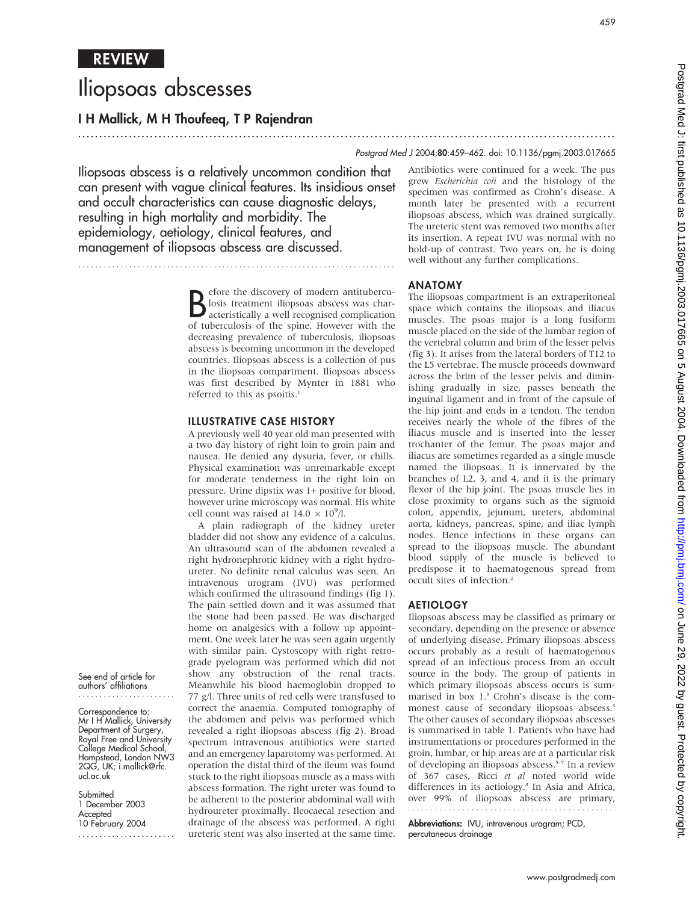Postgrad Med J: first published as 10.1136/pgmj.2003.017665 on 5 August 2004. Downloaded from http://pmj.com/ on June 29, 2022 by guest. Protected by copyrigh on June 29, 2022 by guest. Protected by copyright. <http://pmj.bmj.com/> Postgrad Med J: first published as 10.1136/pgmj.2003.017665 on 5 August 2004. Downloaded from

459



# Iliopsoas abscesses

## I H Mallick, M H Thoufeeq, T P Rajendran

Postgrad Med J 2004;80:459–462. doi: 10.1136/pgmj.2003.017665

Iliopsoas abscess is a relatively uncommon condition that can present with vague clinical features. Its insidious onset and occult characteristics can cause diagnostic delays, resulting in high mortality and morbidity. The epidemiology, aetiology, clinical features, and management of iliopsoas abscess are discussed.

...........................................................................

B efore the discovery of modern antitubercu-<br>losis treatment iliopsoas abscess was char-<br>acteristically a well recognised complication<br>of tuberculosis of the spine. However with the efore the discovery of modern antituberculosis treatment iliopsoas abscess was charof tuberculosis of the spine. However with the decreasing prevalence of tuberculosis, iliopsoas abscess is becoming uncommon in the developed countries. Iliopsoas abscess is a collection of pus in the iliopsoas compartment. Iliopsoas abscess was first described by Mynter in 1881 who referred to this as psoitis.<sup>1</sup>

...............................................................................................................................

#### ILLUSTRATIVE CASE HISTORY

A previously well 40 year old man presented with a two day history of right loin to groin pain and nausea. He denied any dysuria, fever, or chills. Physical examination was unremarkable except for moderate tenderness in the right loin on pressure. Urine dipstix was 1+ positive for blood, however urine microscopy was normal. His white cell count was raised at  $14.0 \times 10^9/\ell$ .

A plain radiograph of the kidney ureter bladder did not show any evidence of a calculus. An ultrasound scan of the abdomen revealed a right hydronephrotic kidney with a right hydroureter. No definite renal calculus was seen. An intravenous urogram (IVU) was performed which confirmed the ultrasound findings (fig 1). The pain settled down and it was assumed that the stone had been passed. He was discharged home on analgesics with a follow up appointment. One week later he was seen again urgently with similar pain. Cystoscopy with right retrograde pyelogram was performed which did not show any obstruction of the renal tracts. Meanwhile his blood haemoglobin dropped to 77 g/l. Three units of red cells were transfused to correct the anaemia. Computed tomography of the abdomen and pelvis was performed which revealed a right iliopsoas abscess (fig 2). Broad spectrum intravenous antibiotics were started and an emergency laparotomy was performed. At operation the distal third of the ileum was found stuck to the right iliopsoas muscle as a mass with abscess formation. The right ureter was found to be adherent to the posterior abdominal wall with hydroureter proximally. Ileocaecal resection and drainage of the abscess was performed. A right ureteric stent was also inserted at the same time.

Antibiotics were continued for a week. The pus grew Escherichia coli and the histology of the specimen was confirmed as Crohn's disease. A month later he presented with a recurrent iliopsoas abscess, which was drained surgically. The ureteric stent was removed two months after its insertion. A repeat IVU was normal with no hold-up of contrast. Two years on, he is doing well without any further complications.

#### ANATOMY

The iliopsoas compartment is an extraperitoneal space which contains the iliopsoas and iliacus muscles. The psoas major is a long fusiform muscle placed on the side of the lumbar region of the vertebral column and brim of the lesser pelvis (fig 3). It arises from the lateral borders of T12 to the L5 vertebrae. The muscle proceeds downward across the brim of the lesser pelvis and diminishing gradually in size, passes beneath the inguinal ligament and in front of the capsule of the hip joint and ends in a tendon. The tendon receives nearly the whole of the fibres of the iliacus muscle and is inserted into the lesser trochanter of the femur. The psoas major and iliacus are sometimes regarded as a single muscle named the iliopsoas. It is innervated by the branches of L2, 3, and 4, and it is the primary flexor of the hip joint. The psoas muscle lies in close proximity to organs such as the sigmoid colon, appendix, jejunum, ureters, abdominal aorta, kidneys, pancreas, spine, and iliac lymph nodes. Hence infections in these organs can spread to the iliopsoas muscle. The abundant blood supply of the muscle is believed to predispose it to haematogenous spread from occult sites of infection.<sup>2</sup>

#### AETIOLOGY

Iliopsoas abscess may be classified as primary or secondary, depending on the presence or absence of underlying disease. Primary iliopsoas abscess occurs probably as a result of haematogenous spread of an infectious process from an occult source in the body. The group of patients in which primary iliopsoas abscess occurs is summarised in box 1.3 Crohn's disease is the commonest cause of secondary iliopsoas abscess.4 The other causes of secondary iliopsoas abscesses is summarised in table 1. Patients who have had instrumentations or procedures performed in the groin, lumbar, or hip areas are at a particular risk of developing an iliopsoas abscess.<sup>5-7</sup> In a review of 367 cases, Ricci et al noted world wide differences in its aetiology.<sup>8</sup> In Asia and Africa, over 99% of iliopsoas abscess are primary,

Abbreviations: IVU, intravenous urogram; PCD, percutaneous drainage

See end of article for authors' affiliations .......................

Correspondence to: Mr I H Mallick, University Department of Surgery, Royal Free and University College Medical School, Hampstead, London NW3 2QG, UK; i.mallick@rfc. ucl.ac.uk

**Submitted** 1 December 2003 Accepted 10 February 2004 .......................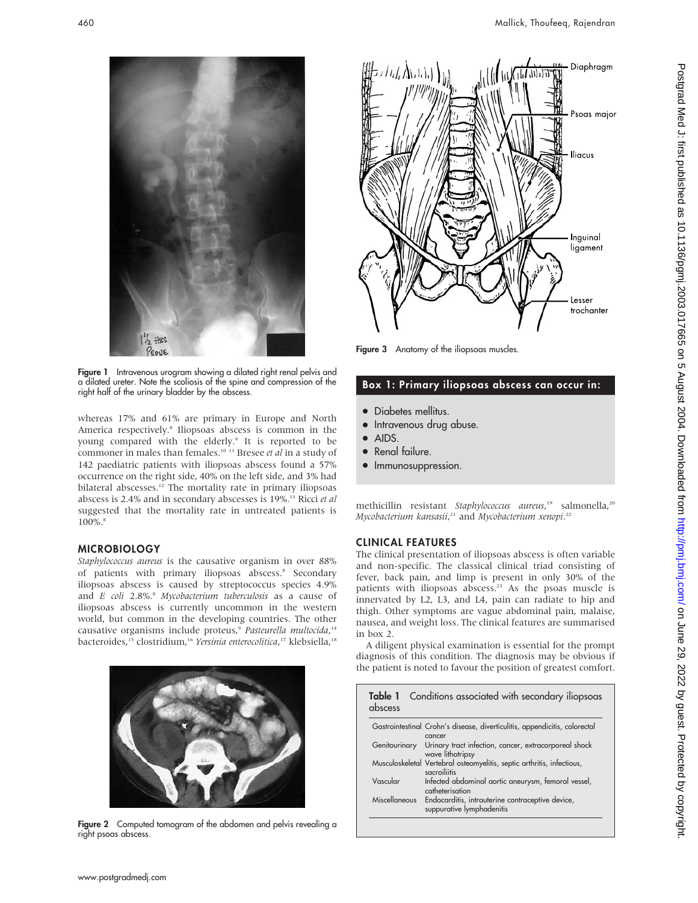

Figure 1 Intravenous urogram showing a dilated right renal pelvis and a dilated ureter. Note the scoliosis of the spine and compression of the right half of the urinary bladder by the abscess.

whereas 17% and 61% are primary in Europe and North America respectively.8 Iliopsoas abscess is common in the young compared with the elderly.<sup>9</sup> It is reported to be commoner in males than females.<sup>10 11</sup> Bresee *et al* in a study of 142 paediatric patients with iliopsoas abscess found a 57% occurrence on the right side, 40% on the left side, and 3% had bilateral abscesses.<sup>12</sup> The mortality rate in primary iliopsoas abscess is 2.4% and in secondary abscesses is 19%.<sup>13</sup> Ricci et al suggested that the mortality rate in untreated patients is  $100\%$ .<sup>8</sup>

#### MICROBIOLOGY

Staphylococcus aureus is the causative organism in over 88% of patients with primary iliopsoas abscess.<sup>8</sup> Secondary iliopsoas abscess is caused by streptococcus species 4.9% and  $E$  coli 2.8%.<sup>8</sup> Mycobacterium tuberculosis as a cause of iliopsoas abscess is currently uncommon in the western world, but common in the developing countries. The other causative organisms include proteus,<sup>9</sup> Pasteurella multocida,<sup>14</sup> bacteroides,<sup>15</sup> clostridium,<sup>16</sup> Yersinia enterocolitica,<sup>17</sup> klebsiella,<sup>18</sup>



Figure 2 Computed tomogram of the abdomen and pelvis revealing a right psoas abscess.



Figure 3 Anatomy of the iliopsoas muscles.

#### Box 1: Primary iliopsoas abscess can occur in:

- Diabetes mellitus.
- Intravenous drug abuse.
- $\bullet$  AIDS.
- Renal failure.
- Immunosuppression.

methicillin resistant Staphylococcus aureus,<sup>19</sup> salmonella,<sup>20</sup> Mycobacterium kansasii,<sup>21</sup> and Mycobacterium xenopi.<sup>22</sup>

#### CLINICAL FEATURES

The clinical presentation of iliopsoas abscess is often variable and non-specific. The classical clinical triad consisting of fever, back pain, and limp is present in only 30% of the patients with iliopsoas abscess.<sup>23</sup> As the psoas muscle is innervated by L2, L3, and L4, pain can radiate to hip and thigh. Other symptoms are vague abdominal pain, malaise, nausea, and weight loss. The clinical features are summarised in box 2.

A diligent physical examination is essential for the prompt diagnosis of this condition. The diagnosis may be obvious if the patient is noted to favour the position of greatest comfort.

| Table 1<br>abscess   | Conditions associated with secondary iliopsoas                                          |
|----------------------|-----------------------------------------------------------------------------------------|
|                      | Gastrointestinal Crohn's disease, diverticulitis, appendicitis, colorectal<br>cancer    |
|                      | Genitourinary Urinary tract infection, cancer, extracorporeal shock<br>wave lithotripsy |
|                      | Musculoskeletal Vertebral osteomyelitis, septic arthritis, infectious,<br>sacroiliitis  |
| Vascular             | Infected abdominal aortic aneurysm, femoral vessel,<br>catheterisation                  |
| <b>Miscellaneous</b> | Endocarditis, intrauterine contraceptive device,<br>suppurative lymphadenitis           |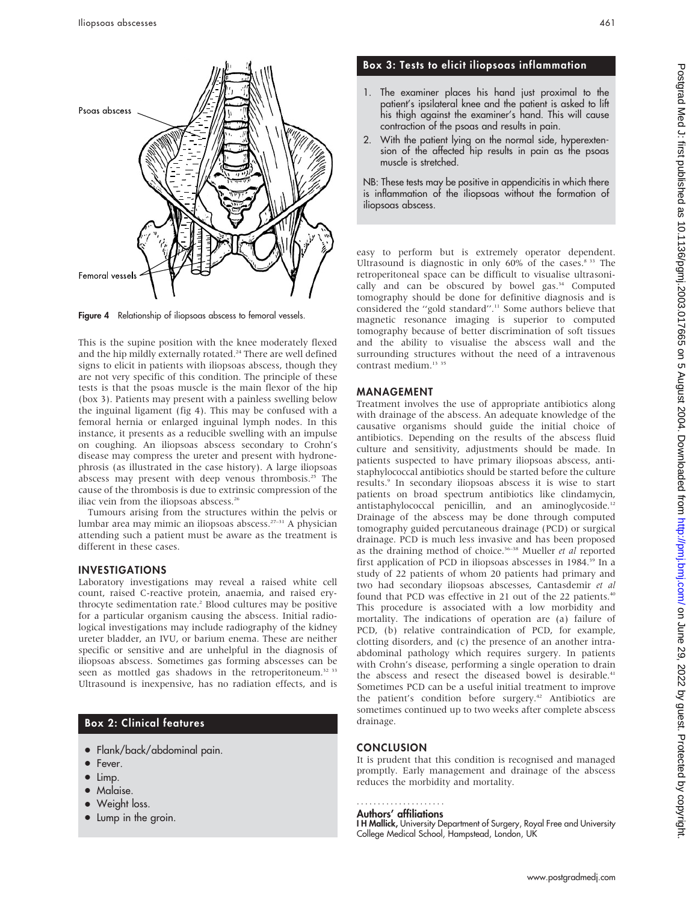

Figure 4 Relationship of iliopsoas abscess to femoral vessels.

This is the supine position with the knee moderately flexed and the hip mildly externally rotated.<sup>24</sup> There are well defined signs to elicit in patients with iliopsoas abscess, though they are not very specific of this condition. The principle of these tests is that the psoas muscle is the main flexor of the hip (box 3). Patients may present with a painless swelling below the inguinal ligament (fig 4). This may be confused with a femoral hernia or enlarged inguinal lymph nodes. In this instance, it presents as a reducible swelling with an impulse on coughing. An iliopsoas abscess secondary to Crohn's disease may compress the ureter and present with hydronephrosis (as illustrated in the case history). A large iliopsoas abscess may present with deep venous thrombosis.<sup>25</sup> The cause of the thrombosis is due to extrinsic compression of the iliac vein from the iliopsoas abscess.<sup>26</sup>

Tumours arising from the structures within the pelvis or lumbar area may mimic an iliopsoas abscess.27–31 A physician attending such a patient must be aware as the treatment is different in these cases.

#### INVESTIGATIONS

Laboratory investigations may reveal a raised white cell count, raised C-reactive protein, anaemia, and raised erythrocyte sedimentation rate.2 Blood cultures may be positive for a particular organism causing the abscess. Initial radiological investigations may include radiography of the kidney ureter bladder, an IVU, or barium enema. These are neither specific or sensitive and are unhelpful in the diagnosis of iliopsoas abscess. Sometimes gas forming abscesses can be seen as mottled gas shadows in the retroperitoneum.<sup>32</sup> <sup>33</sup> Ultrasound is inexpensive, has no radiation effects, and is

#### Box 2: Clinical features

- Flank/back/abdominal pain.
- Fever.
- $\bullet$  Limp.
- Malaise.
- Weight loss.
- Lump in the groin.

### Box 3: Tests to elicit iliopsoas inflammation

- 1. The examiner places his hand just proximal to the patient's ipsilateral knee and the patient is asked to lift his thigh against the examiner's hand. This will cause contraction of the psoas and results in pain.
- 2. With the patient lying on the normal side, hyperextension of the affected hip results in pain as the psoas muscle is stretched.

NB: These tests may be positive in appendicitis in which there is inflammation of the iliopsoas without the formation of iliopsoas abscess.

easy to perform but is extremely operator dependent. Ultrasound is diagnostic in only  $60\%$  of the cases.<sup>8 33</sup> The retroperitoneal space can be difficult to visualise ultrasonically and can be obscured by bowel gas.<sup>34</sup> Computed tomography should be done for definitive diagnosis and is considered the ''gold standard''.11 Some authors believe that magnetic resonance imaging is superior to computed tomography because of better discrimination of soft tissues and the ability to visualise the abscess wall and the surrounding structures without the need of a intravenous contrast medium.<sup>13 35</sup>

#### MANAGEMENT

Treatment involves the use of appropriate antibiotics along with drainage of the abscess. An adequate knowledge of the causative organisms should guide the initial choice of antibiotics. Depending on the results of the abscess fluid culture and sensitivity, adjustments should be made. In patients suspected to have primary iliopsoas abscess, antistaphylococcal antibiotics should be started before the culture results.9 In secondary iliopsoas abscess it is wise to start patients on broad spectrum antibiotics like clindamycin, antistaphylococcal penicillin, and an aminoglycoside.<sup>12</sup> Drainage of the abscess may be done through computed tomography guided percutaneous drainage (PCD) or surgical drainage. PCD is much less invasive and has been proposed as the draining method of choice.<sup>36–38</sup> Mueller et al reported first application of PCD in iliopsoas abscesses in 1984.<sup>39</sup> In a study of 22 patients of whom 20 patients had primary and two had secondary iliopsoas abscesses, Cantasdemir et al found that PCD was effective in 21 out of the 22 patients.<sup>40</sup> This procedure is associated with a low morbidity and mortality. The indications of operation are (a) failure of PCD, (b) relative contraindication of PCD, for example, clotting disorders, and (c) the presence of an another intraabdominal pathology which requires surgery. In patients with Crohn's disease, performing a single operation to drain the abscess and resect the diseased bowel is desirable.<sup>41</sup> Sometimes PCD can be a useful initial treatment to improve the patient's condition before surgery.<sup>42</sup> Antibiotics are sometimes continued up to two weeks after complete abscess drainage.

#### CONCLUSION

It is prudent that this condition is recognised and managed promptly. Early management and drainage of the abscess reduces the morbidity and mortality.

#### Authors' affiliations .....................

I H Mallick, University Department of Surgery, Royal Free and University College Medical School, Hampstead, London, UK